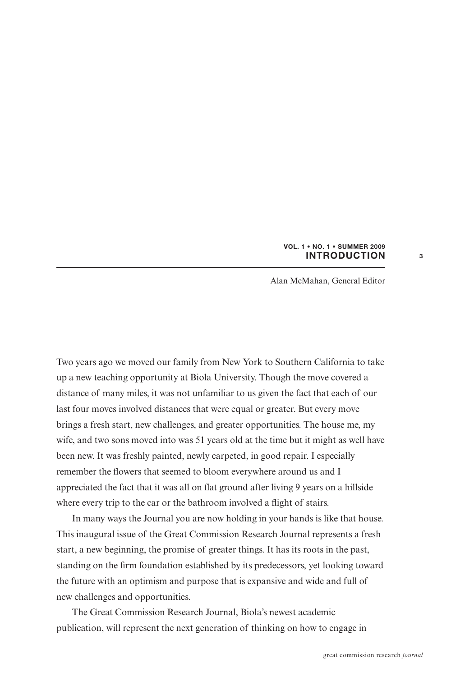## **VOL. 1 • NO. 1 • SUMMER 2009 INTRODUCTION**

**3**

Alan McMahan, General Editor

Two years ago we moved our family from New York to Southern California to take up a new teaching opportunity at Biola University. Though the move covered a distance of many miles, it was not unfamiliar to us given the fact that each of our last four moves involved distances that were equal or greater. But every move brings a fresh start, new challenges, and greater opportunities. The house me, my wife, and two sons moved into was 51 years old at the time but it might as well have been new. It was freshly painted, newly carpeted, in good repair. I especially remember the flowers that seemed to bloom everywhere around us and I appreciated the fact that it was all on flat ground after living 9 years on a hillside where every trip to the car or the bathroom involved a flight of stairs.

In many ways the Journal you are now holding in your hands is like that house. This inaugural issue of the Great Commission Research Journal represents a fresh start, a new beginning, the promise of greater things. It has its roots in the past, standing on the firm foundation established by its predecessors, yet looking toward the future with an optimism and purpose that is expansive and wide and full of new challenges and opportunities.

The Great Commission Research Journal, Biola's newest academic publication, will represent the next generation of thinking on how to engage in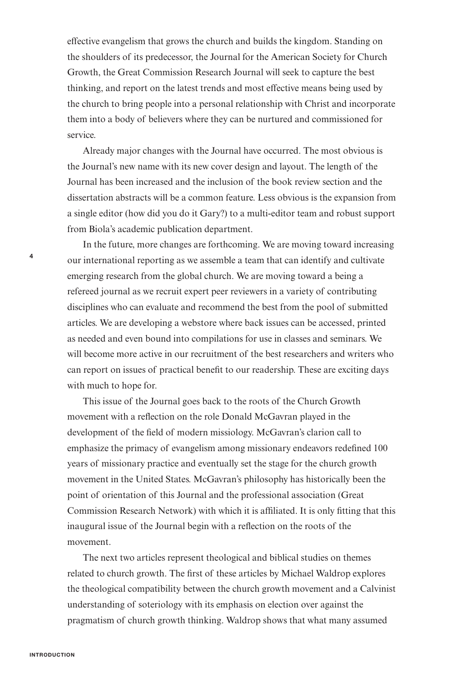effective evangelism that grows the church and builds the kingdom. Standing on the shoulders of its predecessor, the Journal for the American Society for Church Growth, the Great Commission Research Journal will seek to capture the best thinking, and report on the latest trends and most effective means being used by the church to bring people into a personal relationship with Christ and incorporate them into a body of believers where they can be nurtured and commissioned for service.

Already major changes with the Journal have occurred. The most obvious is the Journal's new name with its new cover design and layout. The length of the Journal has been increased and the inclusion of the book review section and the dissertation abstracts will be a common feature. Less obvious is the expansion from a single editor (how did you do it Gary?) to a multi-editor team and robust support from Biola's academic publication department.

In the future, more changes are forthcoming. We are moving toward increasing our international reporting as we assemble a team that can identify and cultivate emerging research from the global church. We are moving toward a being a refereed journal as we recruit expert peer reviewers in a variety of contributing disciplines who can evaluate and recommend the best from the pool of submitted articles. We are developing a webstore where back issues can be accessed, printed as needed and even bound into compilations for use in classes and seminars. We will become more active in our recruitment of the best researchers and writers who can report on issues of practical benefit to our readership. These are exciting days with much to hope for.

This issue of the Journal goes back to the roots of the Church Growth movement with a reflection on the role Donald McGavran played in the development of the field of modern missiology. McGavran's clarion call to emphasize the primacy of evangelism among missionary endeavors redefined 100 years of missionary practice and eventually set the stage for the church growth movement in the United States. McGavran's philosophy has historically been the point of orientation of this Journal and the professional association (Great Commission Research Network) with which it is affiliated. It is only fitting that this inaugural issue of the Journal begin with a reflection on the roots of the movement.

The next two articles represent theological and biblical studies on themes related to church growth. The first of these articles by Michael Waldrop explores the theological compatibility between the church growth movement and a Calvinist understanding of soteriology with its emphasis on election over against the pragmatism of church growth thinking. Waldrop shows that what many assumed

**4**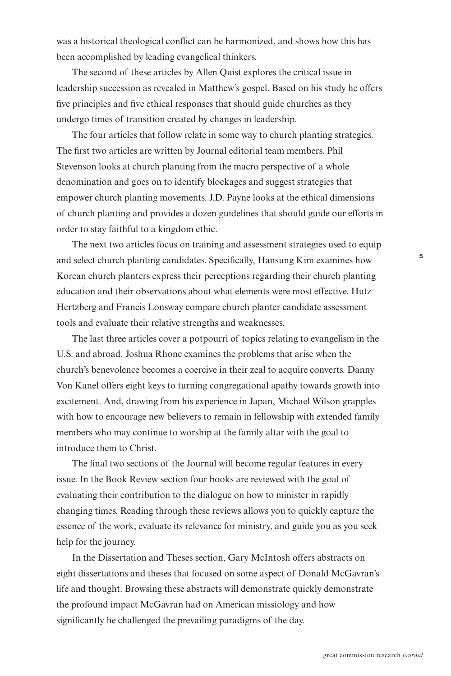was a historical theological conflict can be harmonized, and shows how this has been accomplished by leading evangelical thinkers.

The second of these articles by Allen Quist explores the critical issue in leadership succession as revealed in Matthew's gospel. Based on his study he offers five principles and five ethical responses that should guide churches as they undergo times of transition created by changes in leadership.

The four articles that follow relate in some way to church planting strategies. The first two articles are written by Journal editorial team members. Phil Stevenson looks at church planting from the macro perspective of a whole denomination and goes on to identify blockages and suggest strategies that empower church planting movements. J.D. Payne looks at the ethical dimensions of church planting and provides a dozen guidelines that should guide our efforts in order to stay faithful to a kingdom ethic.

The next two articles focus on training and assessment strategies used to equip and select church planting candidates. Specifically, Hansung Kim examines how Korean church planters express their perceptions regarding their church planting education and their observations about what elements were most effective. Hutz Hertzberg and Francis Lonsway compare church planter candidate assessment tools and evaluate their relative strengths and weaknesses.

The last three articles cover a potpourri of topics relating to evangelism in the U.S. and abroad. Joshua Rhone examines the problems that arise when the church's benevolence becomes a coercive in their zeal to acquire converts. Danny Von Kanel offers eight keys to turning congregational apathy towards growth into excitement. And, drawing from his experience in Japan, Michael Wilson grapples with how to encourage new believers to remain in fellowship with extended family members who may continue to worship at the family altar with the goal to introduce them to Christ.

The final two sections of the Journal will become regular features in every issue. In the Book Review section four books are reviewed with the goal of evaluating their contribution to the dialogue on how to minister in rapidly changing times. Reading through these reviews allows you to quickly capture the essence of the work, evaluate its relevance for ministry, and guide you as you seek help for the journey.

In the Dissertation and Theses section, Gary McIntosh offers abstracts on eight dissertations and theses that focused on some aspect of Donald McGavran's life and thought. Browsing these abstracts will demonstrate quickly demonstrate the profound impact McGavran had on American missiology and how significantly he challenged the prevailing paradigms of the day.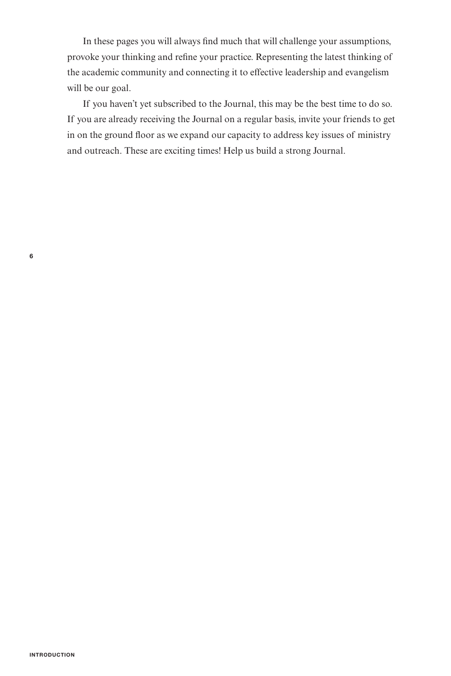In these pages you will always find much that will challenge your assumptions, provoke your thinking and refine your practice. Representing the latest thinking of the academic community and connecting it to effective leadership and evangelism will be our goal.

If you haven't yet subscribed to the Journal, this may be the best time to do so. If you are already receiving the Journal on a regular basis, invite your friends to get in on the ground floor as we expand our capacity to address key issues of ministry and outreach. These are exciting times! Help us build a strong Journal.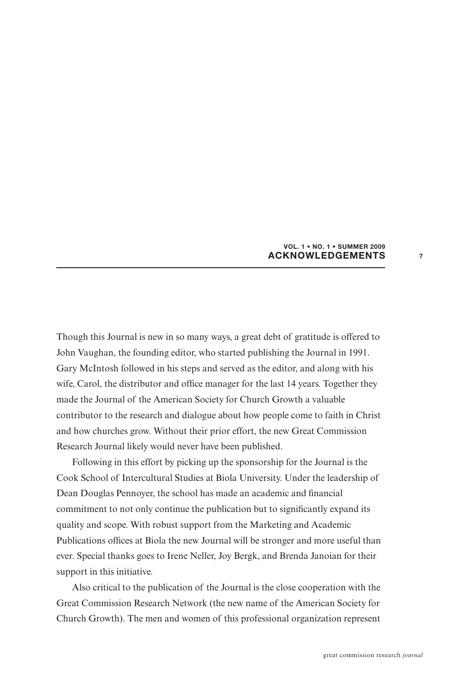## **VOL. 1 • NO. 1 • SUMMER 2009 ACKNOWLEDGEMENTS**

**7**

Though this Journal is new in so many ways, a great debt of gratitude is offered to John Vaughan, the founding editor, who started publishing the Journal in 1991. Gary McIntosh followed in his steps and served as the editor, and along with his wife, Carol, the distributor and office manager for the last 14 years. Together they made the Journal of the American Society for Church Growth a valuable contributor to the research and dialogue about how people come to faith in Christ and how churches grow. Without their prior effort, the new Great Commission Research Journal likely would never have been published.

Following in this effort by picking up the sponsorship for the Journal is the Cook School of Intercultural Studies at Biola University. Under the leadership of Dean Douglas Pennoyer, the school has made an academic and financial commitment to not only continue the publication but to significantly expand its quality and scope. With robust support from the Marketing and Academic Publications offices at Biola the new Journal will be stronger and more useful than ever. Special thanks goes to Irene Neller, Joy Bergk, and Brenda Janoian for their support in this initiative.

Also critical to the publication of the Journal is the close cooperation with the Great Commission Research Network (the new name of the American Society for Church Growth). The men and women of this professional organization represent